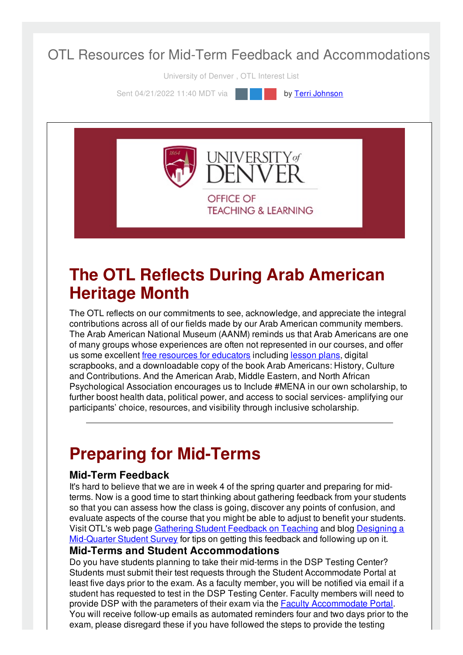### OTL Resources for Mid-Term Feedback and Accommodations

University of Denver , OTL Interest List

Sent 04/21/2022 11:40 MDT via **by Terri [Johnson](file:///networks/du/users/1149646)** 

**INIVERSITY** of OFFICE OF **TEACHING & LEARNING** 

### **The OTL Reflects During Arab American Heritage Month**

The OTL reflects on our commitments to see, acknowledge, and appreciate the integral contributions across all of our fields made by our Arab American community members. The Arab American National Museum (AANM) reminds us that Arab Americans are one of many groups whose experiences are often not represented in our courses, and offer us some excellent free [resources](https://arabamericanmuseum.org/learn/for-educators/) for educators including [lesson](https://drive.google.com/drive/folders/1FzGH_xOZ7vktvj3127T747whQ4MEy9Ae) plans, digital scrapbooks, and a downloadable copy of the book Arab Americans: History, Culture and Contributions. And the American Arab, Middle Eastern, and North African Psychological Association encourages us to Include #MENA in our own scholarship, to further boost health data, political power, and access to social services- amplifying our participants' choice, resources, and visibility through inclusive scholarship.

# **Preparing for Mid-Terms**

#### **Mid-Term Feedback**

It's hard to believe that we are in week 4 of the spring quarter and preparing for midterms. Now is a good time to start thinking about gathering feedback from your students so that you can assess how the class is going, discover any points of confusion, and evaluate aspects of the course that you might be able to adjust to benefit your students. Visit OTL's web page Gathering Student [Feedback](https://otl.du.edu/plan-a-course/teaching-resources/gathering-student-feedback-on-teaching/) on Teaching and blog Designing a [Mid-Quarter](https://otl.du.edu/designing-a-mid-quarter-student-survey-2/) Student Survey for tips on getting this feedback and following up on it.

#### **Mid-Terms and Student Accommodations**

Do you have students planning to take their mid-terms in the DSP Testing Center? Students must submit their test requests through the Student Accommodate Portal at least five days prior to the exam. As a faculty member, you will be notified via email if a student has requested to test in the DSP Testing Center. Faculty members will need to provide DSP with the parameters of their exam via the Faculty [Accommodate](https://du-accommodate.symplicity.com/) Portal. You will receive follow-up emails as automated reminders four and two days prior to the exam, please disregard these if you have followed the steps to provide the testing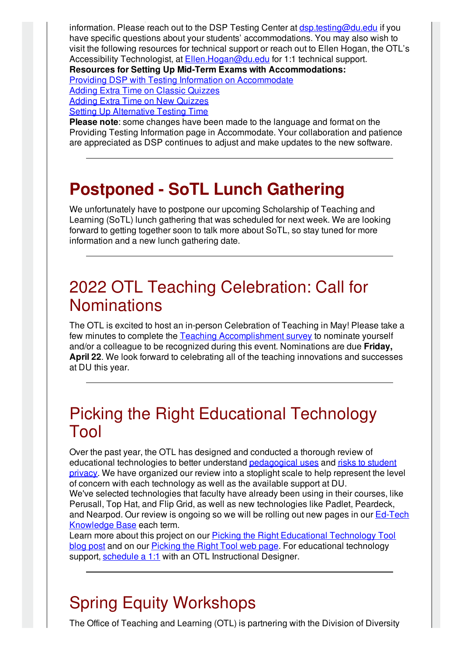exam, please disregard these if you have followed the steps to provide the testing information. Please reach out to the DSP Testing Center at **[dsp.testing@du.edu](mailto:dsp.testing@du.edu)** if you have specific questions about your students' accommodations. You may also wish to visit the following resources for technical support or reach out to Ellen Hogan, the OTL's Accessibility Technologist, at [Ellen.Hogan@du.edu](mailto:Ellen.Hogan@du.edu) for 1:1 technical support. **Resources for Setting Up Mid-Term Exams with Accommodations:** Providing DSP with Testing Information on [Accommodate](https://otl.du.edu/knowledgebase/providing-dsp-testing-information/) Adding Extra Time on Classic [Quizzes](https://otl.du.edu/knowledgebase/how-do-i-allow-extra-time-for-student-accommodations-on-canvas-quizzes/) Adding Extra Time on New [Quizzes](https://otl.du.edu/knowledgebase/student-accommodations-in-new-canvas-quizzes/) Setting Up [Alternative](https://otl.du.edu/knowledgebase/how-do-i-set-up-an-alternative-test-time-for-canvas-quizzes/) Testing Time

**Please note**: some changes have been made to the language and format on the Providing Testing Information page in Accommodate. Your collaboration and patience are appreciated as DSP continues to adjust and make updates to the new software.

# **Postponed - SoTL Lunch Gathering**

We unfortunately have to postpone our upcoming Scholarship of Teaching and Learning (SoTL) lunch gathering that was scheduled for next week. We are looking forward to getting together soon to talk more about SoTL, so stay tuned for more information and a new lunch gathering date.

### 2022 OTL Teaching Celebration: Call for **Nominations**

The OTL is excited to host an in-person Celebration of Teaching in May! Please take a few minutes to complete the Teaching [Accomplishment](https://udenver.qualtrics.com/jfe/form/SV_5vVYJLMBIy9FppI) survey to nominate yourself and/or a colleague to be recognized during this event. Nominations are due **Friday, April 22**. We look forward to celebrating all of the teaching innovations and successes at DU this year.

## Picking the Right Educational Technology Tool

Over the past year, the OTL has designed and conducted a thorough review of educational [technologies](https://otl.du.edu/plan-a-course/teaching-resources/ferpa/) to better understand [pedagogical](https://otl.du.edu/teaching-technology/) uses and risks to student privacy. We have organized our review into a stoplight scale to help represent the level of concern with each technology as well as the available support at DU. We've selected technologies that faculty have already been using in their courses, like Perusall, Top Hat, and Flip Grid, as well as new technologies like Padlet, Peardeck,

and Nearpod. Our review is ongoing so we will be rolling out new pages in our Ed-Tech [Knowledge](https://otl.du.edu/knowledgebase/) Base each term.

Learn more about this project on our **Picking the Right [Educational](https://otl.du.edu/picking-the-right-educational-technology-tool/) Technology Tool** blog post and on our **[Picking](https://otl.du.edu/picking-the-right-ed-tech-tool/) the Right Tool web page**. For educational technology support, [schedule](https://isarsgrid.du.edu/eSARS/OTL/eSARS.asp?WCI=Init&WCE=Settings) a 1:1 with an OTL Instructional Designer.

# Spring Equity Workshops

The Office of Teaching and Learning (OTL) is partnering with the Division of Diversity